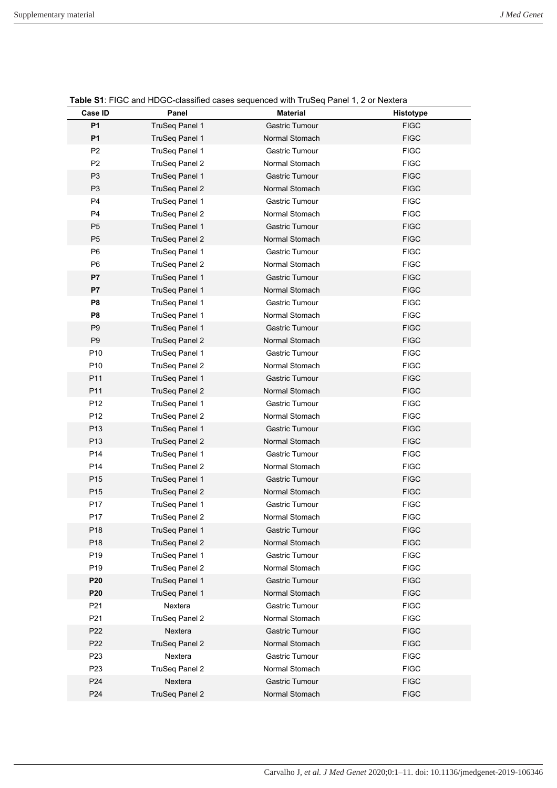| Case ID                            | Panel                     | <b>Material</b>                  | Histotype                  |
|------------------------------------|---------------------------|----------------------------------|----------------------------|
| <b>P1</b>                          | TruSeq Panel 1            | Gastric Tumour                   | <b>FIGC</b>                |
| <b>P1</b>                          | TruSeq Panel 1            | Normal Stomach                   | <b>FIGC</b>                |
| P <sub>2</sub>                     | TruSeq Panel 1            | Gastric Tumour                   | <b>FIGC</b>                |
| P <sub>2</sub>                     | TruSeq Panel 2            | Normal Stomach                   | <b>FIGC</b>                |
| P <sub>3</sub>                     | TruSeq Panel 1            | Gastric Tumour                   | <b>FIGC</b>                |
| P <sub>3</sub>                     | <b>TruSeg Panel 2</b>     | Normal Stomach                   | <b>FIGC</b>                |
| P4                                 | TruSeq Panel 1            | Gastric Tumour                   | <b>FIGC</b>                |
| P <sub>4</sub>                     | TruSeg Panel 2            | Normal Stomach                   | <b>FIGC</b>                |
| P <sub>5</sub>                     | TruSeg Panel 1            | Gastric Tumour                   | <b>FIGC</b>                |
| P <sub>5</sub>                     | TruSeq Panel 2            | Normal Stomach                   | <b>FIGC</b>                |
| P <sub>6</sub>                     | TruSeq Panel 1            | Gastric Tumour                   | <b>FIGC</b>                |
| P <sub>6</sub>                     | TruSeq Panel 2            | Normal Stomach                   | <b>FIGC</b>                |
| P7                                 | TruSeq Panel 1            | <b>Gastric Tumour</b>            | <b>FIGC</b>                |
| P7                                 | TruSeg Panel 1            | Normal Stomach                   | <b>FIGC</b>                |
| P <sub>8</sub>                     | TruSeq Panel 1            | Gastric Tumour                   | <b>FIGC</b>                |
| P <sub>8</sub>                     | TruSeq Panel 1            | Normal Stomach                   | <b>FIGC</b>                |
| P <sub>9</sub>                     | TruSeg Panel 1            | Gastric Tumour                   | <b>FIGC</b>                |
| P <sub>9</sub>                     | TruSeq Panel 2            | Normal Stomach                   | <b>FIGC</b>                |
| P <sub>10</sub>                    | TruSeq Panel 1            | Gastric Tumour                   | <b>FIGC</b>                |
| P <sub>10</sub>                    | TruSeq Panel 2            | Normal Stomach                   | <b>FIGC</b>                |
| P11                                | TruSeq Panel 1            | <b>Gastric Tumour</b>            | <b>FIGC</b>                |
| P11                                | <b>TruSeg Panel 2</b>     | Normal Stomach                   | <b>FIGC</b>                |
| P <sub>12</sub>                    | TruSeq Panel 1            | Gastric Tumour                   | <b>FIGC</b>                |
| P <sub>12</sub>                    | TruSeq Panel 2            | Normal Stomach                   | <b>FIGC</b>                |
| P <sub>13</sub>                    | TruSeg Panel 1            | Gastric Tumour                   | <b>FIGC</b>                |
| P <sub>13</sub>                    | <b>TruSeq Panel 2</b>     | Normal Stomach                   | <b>FIGC</b>                |
| P14                                | TruSeq Panel 1            | Gastric Tumour                   | <b>FIGC</b>                |
| P14                                | TruSeq Panel 2            | Normal Stomach                   | <b>FIGC</b>                |
| P <sub>15</sub>                    | <b>TruSeq Panel 1</b>     | <b>Gastric Tumour</b>            | <b>FIGC</b>                |
| P <sub>15</sub>                    | TruSeq Panel 2            | Normal Stomach                   | <b>FIGC</b>                |
| P17                                | TruSeq Panel 1            | Gastric Tumour                   | <b>FIGC</b>                |
| P17                                | TruSeq Panel 2            | Normal Stomach                   | <b>FIGC</b>                |
| P18                                | <b>TruSeq Panel 1</b>     | Gastric Tumour                   | <b>FIGC</b>                |
| P18                                | TruSeq Panel 2            | Normal Stomach                   | <b>FIGC</b>                |
| P <sub>19</sub>                    | TruSeq Panel 1            | Gastric Tumour                   | <b>FIGC</b>                |
| P <sub>19</sub>                    | TruSeq Panel 2            | Normal Stomach<br>Gastric Tumour | <b>FIGC</b>                |
| P <sub>20</sub><br>P <sub>20</sub> | TruSeq Panel 1            | Normal Stomach                   | <b>FIGC</b><br><b>FIGC</b> |
|                                    | TruSeq Panel 1            | Gastric Tumour                   |                            |
| P21<br>P21                         | Nextera<br>TruSeq Panel 2 | Normal Stomach                   | <b>FIGC</b><br><b>FIGC</b> |
| P <sub>22</sub>                    | Nextera                   | Gastric Tumour                   | <b>FIGC</b>                |
| P <sub>22</sub>                    | TruSeq Panel 2            | Normal Stomach                   | <b>FIGC</b>                |
| P <sub>23</sub>                    | Nextera                   | Gastric Tumour                   | <b>FIGC</b>                |
| P <sub>23</sub>                    | TruSeq Panel 2            | Normal Stomach                   | <b>FIGC</b>                |
| P <sub>24</sub>                    | Nextera                   | Gastric Tumour                   | <b>FIGC</b>                |
| P <sub>24</sub>                    | TruSeq Panel 2            | Normal Stomach                   | <b>FIGC</b>                |
|                                    |                           |                                  |                            |

**Table S1**: FIGC and HDGC-classified cases sequenced with TruSeq Panel 1, 2 or Nextera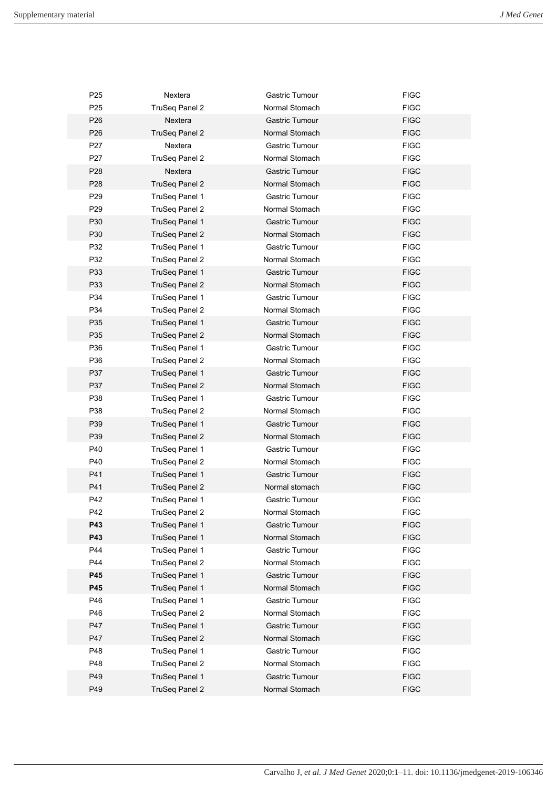| P <sub>25</sub> | Nextera               | Gastric Tumour        | <b>FIGC</b> |
|-----------------|-----------------------|-----------------------|-------------|
| P <sub>25</sub> | TruSeq Panel 2        | Normal Stomach        | <b>FIGC</b> |
| P <sub>26</sub> | Nextera               | <b>Gastric Tumour</b> | <b>FIGC</b> |
| P <sub>26</sub> | TruSeq Panel 2        | Normal Stomach        | <b>FIGC</b> |
| P27             | Nextera               | Gastric Tumour        | <b>FIGC</b> |
| P <sub>27</sub> | TruSeq Panel 2        | Normal Stomach        | <b>FIGC</b> |
| P <sub>28</sub> | Nextera               | Gastric Tumour        | <b>FIGC</b> |
| P <sub>28</sub> | TruSeq Panel 2        | Normal Stomach        | <b>FIGC</b> |
| P <sub>29</sub> | TruSeq Panel 1        | Gastric Tumour        | <b>FIGC</b> |
| P <sub>29</sub> | TruSeq Panel 2        | Normal Stomach        | <b>FIGC</b> |
| P30             | TruSeg Panel 1        | Gastric Tumour        | <b>FIGC</b> |
| P30             | TruSeq Panel 2        | Normal Stomach        | <b>FIGC</b> |
| P32             | TruSeq Panel 1        | Gastric Tumour        | <b>FIGC</b> |
| P32             | TruSeq Panel 2        | Normal Stomach        | <b>FIGC</b> |
| P33             | TruSeq Panel 1        | Gastric Tumour        | <b>FIGC</b> |
| P33             | TruSeq Panel 2        | Normal Stomach        | <b>FIGC</b> |
| P34             | TruSeq Panel 1        | Gastric Tumour        | <b>FIGC</b> |
| P34             | TruSeg Panel 2        | Normal Stomach        | <b>FIGC</b> |
| P35             | TruSeg Panel 1        | Gastric Tumour        | <b>FIGC</b> |
| P35             | TruSeq Panel 2        | Normal Stomach        | <b>FIGC</b> |
| P36             | TruSeq Panel 1        | Gastric Tumour        | <b>FIGC</b> |
| P36             | TruSeq Panel 2        | Normal Stomach        | <b>FIGC</b> |
| P37             | TruSeq Panel 1        | Gastric Tumour        | <b>FIGC</b> |
| P37             | <b>TruSeg Panel 2</b> | Normal Stomach        | <b>FIGC</b> |
| P38             | TruSeq Panel 1        | Gastric Tumour        | <b>FIGC</b> |
| P38             | TruSeq Panel 2        | Normal Stomach        | <b>FIGC</b> |
| P39             | TruSeg Panel 1        | <b>Gastric Tumour</b> | <b>FIGC</b> |
| P39             | TruSeq Panel 2        | Normal Stomach        | <b>FIGC</b> |
| P40             |                       | Gastric Tumour        | <b>FIGC</b> |
|                 | TruSeq Panel 1        | Normal Stomach        |             |
| P40<br>P41      | TruSeq Panel 2        | Gastric Tumour        | <b>FIGC</b> |
|                 | TruSeq Panel 1        |                       | <b>FIGC</b> |
| P41             | TruSeq Panel 2        | Normal stomach        | <b>FIGC</b> |
| P42             | TruSeq Panel 1        | Gastric Tumour        | <b>FIGC</b> |
| P42             | TruSeq Panel 2        | Normal Stomach        | <b>FIGC</b> |
| P43             | TruSeq Panel 1        | Gastric Tumour        | <b>FIGC</b> |
| P43             | TruSeg Panel 1        | Normal Stomach        | <b>FIGC</b> |
| P44             | TruSeg Panel 1        | Gastric Tumour        | <b>FIGC</b> |
| P44             | TruSeq Panel 2        | Normal Stomach        | <b>FIGC</b> |
| P45             | TruSeg Panel 1        | Gastric Tumour        | <b>FIGC</b> |
| P45             | TruSeg Panel 1        | Normal Stomach        | <b>FIGC</b> |
| P46             | TruSeq Panel 1        | Gastric Tumour        | <b>FIGC</b> |
| P46             | TruSeq Panel 2        | Normal Stomach        | <b>FIGC</b> |
| P47             | TruSeq Panel 1        | Gastric Tumour        | <b>FIGC</b> |
| P47             | TruSeq Panel 2        | Normal Stomach        | <b>FIGC</b> |
| P48             | TruSeq Panel 1        | Gastric Tumour        | <b>FIGC</b> |
| P48             | TruSeq Panel 2        | Normal Stomach        | <b>FIGC</b> |
| P49             | TruSeg Panel 1        | Gastric Tumour        | <b>FIGC</b> |
| P49             | TruSeq Panel 2        | Normal Stomach        | <b>FIGC</b> |